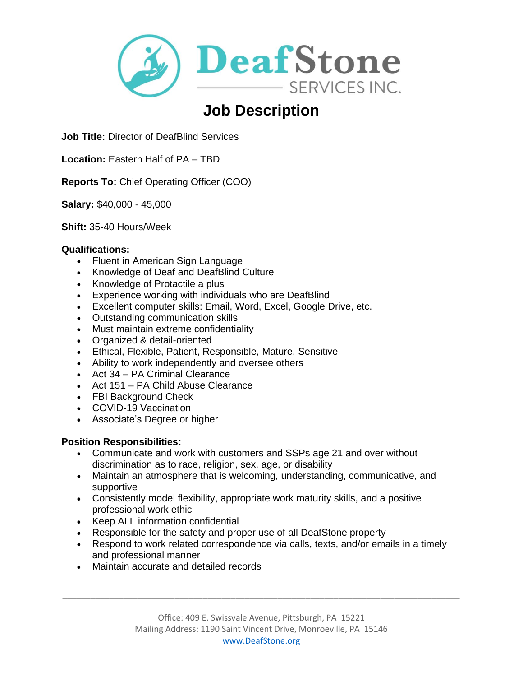

# **Job Description**

**Job Title:** Director of DeafBlind Services

**Location:** Eastern Half of PA – TBD

**Reports To:** Chief Operating Officer (COO)

**Salary:** \$40,000 - 45,000

**Shift:** 35-40 Hours/Week

#### **Qualifications:**

- Fluent in American Sign Language
- Knowledge of Deaf and DeafBlind Culture
- Knowledge of Protactile a plus
- Experience working with individuals who are DeafBlind
- Excellent computer skills: Email, Word, Excel, Google Drive, etc.
- Outstanding communication skills
- Must maintain extreme confidentiality
- Organized & detail-oriented
- Ethical, Flexible, Patient, Responsible, Mature, Sensitive
- Ability to work independently and oversee others
- Act 34 PA Criminal Clearance
- Act 151 PA Child Abuse Clearance
- FBI Background Check
- COVID-19 Vaccination
- Associate's Degree or higher

## **Position Responsibilities:**

- Communicate and work with customers and SSPs age 21 and over without discrimination as to race, religion, sex, age, or disability
- Maintain an atmosphere that is welcoming, understanding, communicative, and supportive
- Consistently model flexibility, appropriate work maturity skills, and a positive professional work ethic
- Keep ALL information confidential
- Responsible for the safety and proper use of all DeafStone property
- Respond to work related correspondence via calls, texts, and/or emails in a timely and professional manner
- Maintain accurate and detailed records

\_\_\_\_\_\_\_\_\_\_\_\_\_\_\_\_\_\_\_\_\_\_\_\_\_\_\_\_\_\_\_\_\_\_\_\_\_\_\_\_\_\_\_\_\_\_\_\_\_\_\_\_\_\_\_\_\_\_\_\_\_\_\_\_\_\_\_\_\_\_\_\_\_\_\_\_\_\_\_\_\_\_\_\_\_